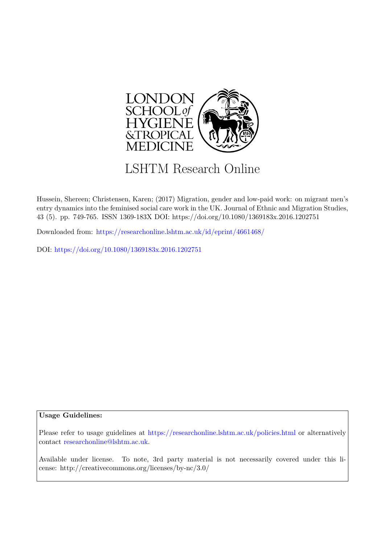

# LSHTM Research Online

Hussein, Shereen; Christensen, Karen; (2017) Migration, gender and low-paid work: on migrant men's entry dynamics into the feminised social care work in the UK. Journal of Ethnic and Migration Studies, 43 (5). pp. 749-765. ISSN 1369-183X DOI: https://doi.org/10.1080/1369183x.2016.1202751

Downloaded from: <https://researchonline.lshtm.ac.uk/id/eprint/4661468/>

DOI: https://doi.org/10.1080/1369183x.2016.1202751

# **Usage Guidelines:**

Please refer to usage guidelines at <https://researchonline.lshtm.ac.uk/policies.html> or alternatively contact [researchonline@lshtm.ac.uk.](mailto:researchonline@lshtm.ac.uk)

Available under license. To note, 3rd party material is not necessarily covered under this license: http://creativecommons.org/licenses/by-nc/3.0/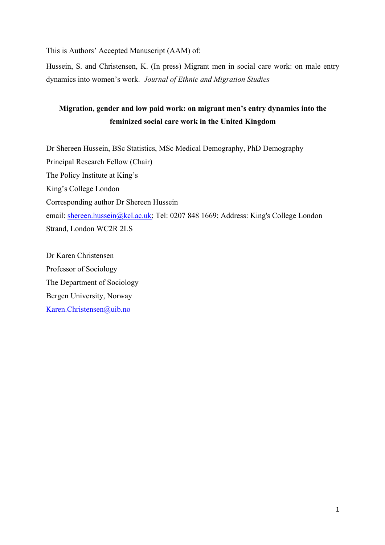This is Authors' Accepted Manuscript (AAM) of:

Hussein, S. and Christensen, K. (In press) Migrant men in social care work: on male entry dynamics into women's work. *Journal of Ethnic and Migration Studies*

# **Migration, gender and low paid work: on migrant men's entry dynamics into the feminized social care work in the United Kingdom**

Dr Shereen Hussein, BSc Statistics, MSc Medical Demography, PhD Demography Principal Research Fellow (Chair) The Policy Institute at King's King's College London Corresponding author Dr Shereen Hussein email: shereen.hussein@kcl.ac.uk; Tel: 0207 848 1669; Address: King's College London Strand, London WC2R 2LS

Dr Karen Christensen Professor of Sociology The Department of Sociology Bergen University, Norway Karen.Christensen@uib.no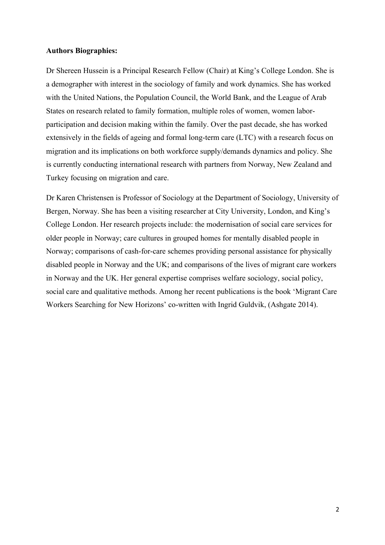#### **Authors Biographies:**

Dr Shereen Hussein is a Principal Research Fellow (Chair) at King's College London. She is a demographer with interest in the sociology of family and work dynamics. She has worked with the United Nations, the Population Council, the World Bank, and the League of Arab States on research related to family formation, multiple roles of women, women laborparticipation and decision making within the family. Over the past decade, she has worked extensively in the fields of ageing and formal long-term care (LTC) with a research focus on migration and its implications on both workforce supply/demands dynamics and policy. She is currently conducting international research with partners from Norway, New Zealand and Turkey focusing on migration and care.

Dr Karen Christensen is Professor of Sociology at the Department of Sociology, University of Bergen, Norway. She has been a visiting researcher at City University, London, and King's College London. Her research projects include: the modernisation of social care services for older people in Norway; care cultures in grouped homes for mentally disabled people in Norway; comparisons of cash-for-care schemes providing personal assistance for physically disabled people in Norway and the UK; and comparisons of the lives of migrant care workers in Norway and the UK. Her general expertise comprises welfare sociology, social policy, social care and qualitative methods. Among her recent publications is the book 'Migrant Care Workers Searching for New Horizons' co-written with Ingrid Guldvik, (Ashgate 2014).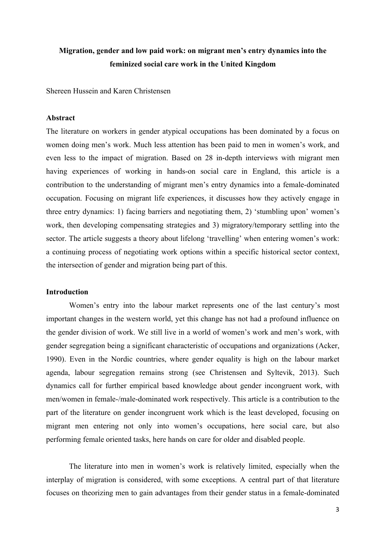# **Migration, gender and low paid work: on migrant men's entry dynamics into the feminized social care work in the United Kingdom**

Shereen Hussein and Karen Christensen

#### **Abstract**

The literature on workers in gender atypical occupations has been dominated by a focus on women doing men's work. Much less attention has been paid to men in women's work, and even less to the impact of migration. Based on 28 in-depth interviews with migrant men having experiences of working in hands-on social care in England, this article is a contribution to the understanding of migrant men's entry dynamics into a female-dominated occupation. Focusing on migrant life experiences, it discusses how they actively engage in three entry dynamics: 1) facing barriers and negotiating them, 2) 'stumbling upon' women's work, then developing compensating strategies and 3) migratory/temporary settling into the sector. The article suggests a theory about lifelong 'travelling' when entering women's work: a continuing process of negotiating work options within a specific historical sector context, the intersection of gender and migration being part of this.

# **Introduction**

Women's entry into the labour market represents one of the last century's most important changes in the western world, yet this change has not had a profound influence on the gender division of work. We still live in a world of women's work and men's work, with gender segregation being a significant characteristic of occupations and organizations (Acker, 1990). Even in the Nordic countries, where gender equality is high on the labour market agenda, labour segregation remains strong (see Christensen and Syltevik, 2013). Such dynamics call for further empirical based knowledge about gender incongruent work, with men/women in female-/male-dominated work respectively. This article is a contribution to the part of the literature on gender incongruent work which is the least developed, focusing on migrant men entering not only into women's occupations, here social care, but also performing female oriented tasks, here hands on care for older and disabled people.

The literature into men in women's work is relatively limited, especially when the interplay of migration is considered, with some exceptions. A central part of that literature focuses on theorizing men to gain advantages from their gender status in a female-dominated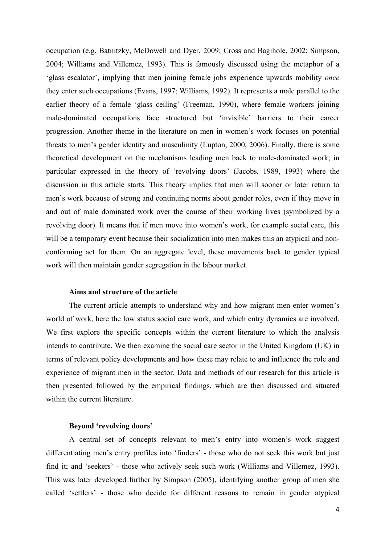occupation (e.g. Batnitzky, McDowell and Dyer, 2009; Cross and Bagihole, 2002; Simpson, 2004; Williams and Villemez, 1993). This is famously discussed using the metaphor of a 'glass escalator', implying that men joining female jobs experience upwards mobility *once* they enter such occupations (Evans, 1997; Williams, 1992). It represents a male parallel to the earlier theory of a female 'glass ceiling' (Freeman, 1990), where female workers joining male-dominated occupations face structured but 'invisible' barriers to their career progression. Another theme in the literature on men in women's work focuses on potential threats to men's gender identity and masculinity (Lupton, 2000, 2006). Finally, there is some theoretical development on the mechanisms leading men back to male-dominated work; in particular expressed in the theory of 'revolving doors' (Jacobs, 1989, 1993) where the discussion in this article starts. This theory implies that men will sooner or later return to men's work because of strong and continuing norms about gender roles, even if they move in and out of male dominated work over the course of their working lives (symbolized by a revolving door). It means that if men move into women's work, for example social care, this will be a temporary event because their socialization into men makes this an atypical and nonconforming act for them. On an aggregate level, these movements back to gender typical work will then maintain gender segregation in the labour market.

#### **Aims and structure of the article**

The current article attempts to understand why and how migrant men enter women's world of work, here the low status social care work, and which entry dynamics are involved. We first explore the specific concepts within the current literature to which the analysis intends to contribute. We then examine the social care sector in the United Kingdom (UK) in terms of relevant policy developments and how these may relate to and influence the role and experience of migrant men in the sector. Data and methods of our research for this article is then presented followed by the empirical findings, which are then discussed and situated within the current literature.

#### **Beyond 'revolving doors'**

A central set of concepts relevant to men's entry into women's work suggest differentiating men's entry profiles into 'finders' - those who do not seek this work but just find it; and 'seekers' - those who actively seek such work (Williams and Villemez, 1993). This was later developed further by Simpson (2005), identifying another group of men she called 'settlers' - those who decide for different reasons to remain in gender atypical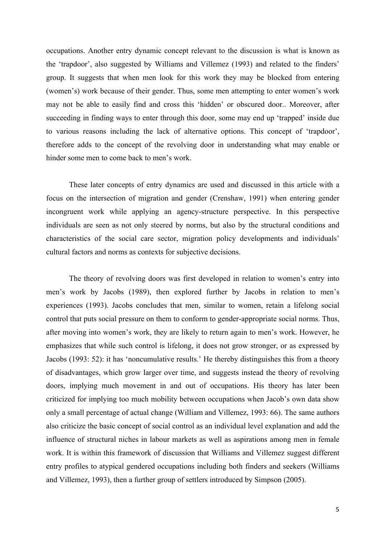occupations. Another entry dynamic concept relevant to the discussion is what is known as the 'trapdoor', also suggested by Williams and Villemez (1993) and related to the finders' group. It suggests that when men look for this work they may be blocked from entering (women's) work because of their gender. Thus, some men attempting to enter women's work may not be able to easily find and cross this 'hidden' or obscured door.. Moreover, after succeeding in finding ways to enter through this door, some may end up 'trapped' inside due to various reasons including the lack of alternative options. This concept of 'trapdoor', therefore adds to the concept of the revolving door in understanding what may enable or hinder some men to come back to men's work.

These later concepts of entry dynamics are used and discussed in this article with a focus on the intersection of migration and gender (Crenshaw, 1991) when entering gender incongruent work while applying an agency-structure perspective. In this perspective individuals are seen as not only steered by norms, but also by the structural conditions and characteristics of the social care sector, migration policy developments and individuals' cultural factors and norms as contexts for subjective decisions.

The theory of revolving doors was first developed in relation to women's entry into men's work by Jacobs (1989), then explored further by Jacobs in relation to men's experiences (1993). Jacobs concludes that men, similar to women, retain a lifelong social control that puts social pressure on them to conform to gender-appropriate social norms. Thus, after moving into women's work, they are likely to return again to men's work. However, he emphasizes that while such control is lifelong, it does not grow stronger, or as expressed by Jacobs (1993: 52): it has 'noncumulative results*.*' He thereby distinguishes this from a theory of disadvantages, which grow larger over time, and suggests instead the theory of revolving doors, implying much movement in and out of occupations. His theory has later been criticized for implying too much mobility between occupations when Jacob's own data show only a small percentage of actual change (William and Villemez, 1993: 66). The same authors also criticize the basic concept of social control as an individual level explanation and add the influence of structural niches in labour markets as well as aspirations among men in female work. It is within this framework of discussion that Williams and Villemez suggest different entry profiles to atypical gendered occupations including both finders and seekers (Williams and Villemez, 1993), then a further group of settlers introduced by Simpson (2005).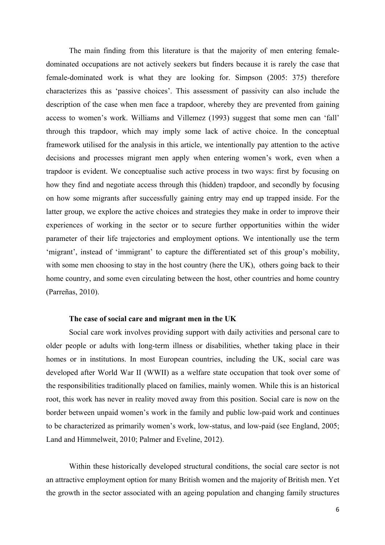The main finding from this literature is that the majority of men entering femaledominated occupations are not actively seekers but finders because it is rarely the case that female-dominated work is what they are looking for. Simpson (2005: 375) therefore characterizes this as 'passive choices'. This assessment of passivity can also include the description of the case when men face a trapdoor, whereby they are prevented from gaining access to women's work. Williams and Villemez (1993) suggest that some men can 'fall' through this trapdoor, which may imply some lack of active choice. In the conceptual framework utilised for the analysis in this article, we intentionally pay attention to the active decisions and processes migrant men apply when entering women's work, even when a trapdoor is evident. We conceptualise such active process in two ways: first by focusing on how they find and negotiate access through this (hidden) trapdoor, and secondly by focusing on how some migrants after successfully gaining entry may end up trapped inside. For the latter group, we explore the active choices and strategies they make in order to improve their experiences of working in the sector or to secure further opportunities within the wider parameter of their life trajectories and employment options. We intentionally use the term 'migrant', instead of 'immigrant' to capture the differentiated set of this group's mobility, with some men choosing to stay in the host country (here the UK), others going back to their home country, and some even circulating between the host, other countries and home country (Parreñas, 2010).

#### **The case of social care and migrant men in the UK**

Social care work involves providing support with daily activities and personal care to older people or adults with long-term illness or disabilities, whether taking place in their homes or in institutions. In most European countries, including the UK, social care was developed after World War II (WWII) as a welfare state occupation that took over some of the responsibilities traditionally placed on families, mainly women. While this is an historical root, this work has never in reality moved away from this position. Social care is now on the border between unpaid women's work in the family and public low-paid work and continues to be characterized as primarily women's work, low-status, and low-paid (see England, 2005; Land and Himmelweit, 2010; Palmer and Eveline, 2012).

Within these historically developed structural conditions, the social care sector is not an attractive employment option for many British women and the majority of British men. Yet the growth in the sector associated with an ageing population and changing family structures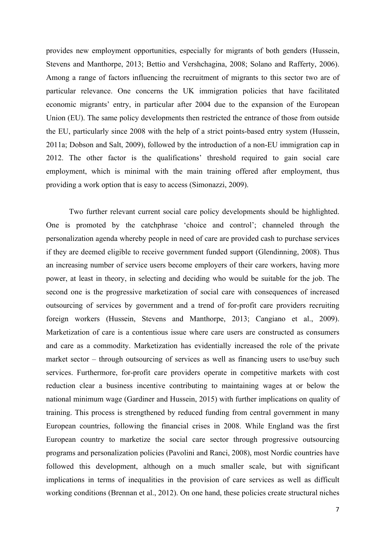provides new employment opportunities, especially for migrants of both genders (Hussein, Stevens and Manthorpe, 2013; Bettio and Vershchagina, 2008; Solano and Rafferty, 2006). Among a range of factors influencing the recruitment of migrants to this sector two are of particular relevance. One concerns the UK immigration policies that have facilitated economic migrants' entry, in particular after 2004 due to the expansion of the European Union (EU). The same policy developments then restricted the entrance of those from outside the EU, particularly since 2008 with the help of a strict points-based entry system (Hussein, 2011a; Dobson and Salt, 2009), followed by the introduction of a non-EU immigration cap in 2012. The other factor is the qualifications' threshold required to gain social care employment, which is minimal with the main training offered after employment, thus providing a work option that is easy to access (Simonazzi, 2009).

Two further relevant current social care policy developments should be highlighted. One is promoted by the catchphrase 'choice and control'; channeled through the personalization agenda whereby people in need of care are provided cash to purchase services if they are deemed eligible to receive government funded support (Glendinning, 2008). Thus an increasing number of service users become employers of their care workers, having more power, at least in theory, in selecting and deciding who would be suitable for the job. The second one is the progressive marketization of social care with consequences of increased outsourcing of services by government and a trend of for-profit care providers recruiting foreign workers (Hussein, Stevens and Manthorpe, 2013; Cangiano et al., 2009). Marketization of care is a contentious issue where care users are constructed as consumers and care as a commodity. Marketization has evidentially increased the role of the private market sector – through outsourcing of services as well as financing users to use/buy such services. Furthermore, for-profit care providers operate in competitive markets with cost reduction clear a business incentive contributing to maintaining wages at or below the national minimum wage (Gardiner and Hussein, 2015) with further implications on quality of training. This process is strengthened by reduced funding from central government in many European countries, following the financial crises in 2008. While England was the first European country to marketize the social care sector through progressive outsourcing programs and personalization policies (Pavolini and Ranci, 2008), most Nordic countries have followed this development, although on a much smaller scale, but with significant implications in terms of inequalities in the provision of care services as well as difficult working conditions (Brennan et al., 2012). On one hand, these policies create structural niches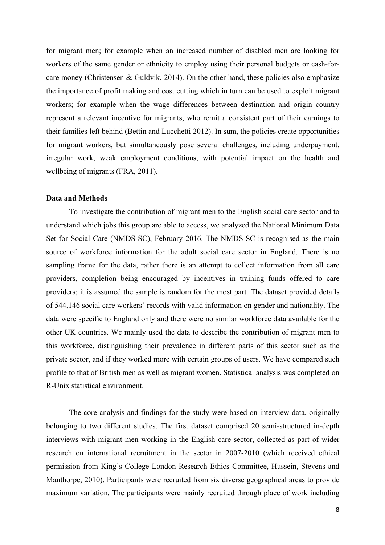for migrant men; for example when an increased number of disabled men are looking for workers of the same gender or ethnicity to employ using their personal budgets or cash-forcare money (Christensen & Guldvik, 2014). On the other hand, these policies also emphasize the importance of profit making and cost cutting which in turn can be used to exploit migrant workers; for example when the wage differences between destination and origin country represent a relevant incentive for migrants, who remit a consistent part of their earnings to their families left behind (Bettin and Lucchetti 2012). In sum, the policies create opportunities for migrant workers, but simultaneously pose several challenges, including underpayment, irregular work, weak employment conditions, with potential impact on the health and wellbeing of migrants (FRA, 2011).

#### **Data and Methods**

To investigate the contribution of migrant men to the English social care sector and to understand which jobs this group are able to access, we analyzed the National Minimum Data Set for Social Care (NMDS-SC), February 2016. The NMDS-SC is recognised as the main source of workforce information for the adult social care sector in England. There is no sampling frame for the data, rather there is an attempt to collect information from all care providers, completion being encouraged by incentives in training funds offered to care providers; it is assumed the sample is random for the most part. The dataset provided details of 544,146 social care workers' records with valid information on gender and nationality. The data were specific to England only and there were no similar workforce data available for the other UK countries. We mainly used the data to describe the contribution of migrant men to this workforce, distinguishing their prevalence in different parts of this sector such as the private sector, and if they worked more with certain groups of users. We have compared such profile to that of British men as well as migrant women. Statistical analysis was completed on R-Unix statistical environment.

The core analysis and findings for the study were based on interview data, originally belonging to two different studies. The first dataset comprised 20 semi-structured in-depth interviews with migrant men working in the English care sector, collected as part of wider research on international recruitment in the sector in 2007-2010 (which received ethical permission from King's College London Research Ethics Committee, Hussein, Stevens and Manthorpe, 2010). Participants were recruited from six diverse geographical areas to provide maximum variation. The participants were mainly recruited through place of work including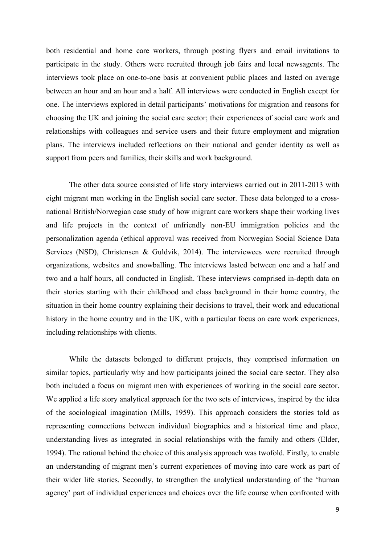both residential and home care workers, through posting flyers and email invitations to participate in the study. Others were recruited through job fairs and local newsagents. The interviews took place on one-to-one basis at convenient public places and lasted on average between an hour and an hour and a half. All interviews were conducted in English except for one. The interviews explored in detail participants' motivations for migration and reasons for choosing the UK and joining the social care sector; their experiences of social care work and relationships with colleagues and service users and their future employment and migration plans. The interviews included reflections on their national and gender identity as well as support from peers and families, their skills and work background.

The other data source consisted of life story interviews carried out in 2011-2013 with eight migrant men working in the English social care sector. These data belonged to a crossnational British/Norwegian case study of how migrant care workers shape their working lives and life projects in the context of unfriendly non-EU immigration policies and the personalization agenda (ethical approval was received from Norwegian Social Science Data Services (NSD), Christensen & Guldvik, 2014). The interviewees were recruited through organizations, websites and snowballing. The interviews lasted between one and a half and two and a half hours, all conducted in English. These interviews comprised in-depth data on their stories starting with their childhood and class background in their home country, the situation in their home country explaining their decisions to travel, their work and educational history in the home country and in the UK, with a particular focus on care work experiences, including relationships with clients.

While the datasets belonged to different projects, they comprised information on similar topics, particularly why and how participants joined the social care sector. They also both included a focus on migrant men with experiences of working in the social care sector. We applied a life story analytical approach for the two sets of interviews, inspired by the idea of the sociological imagination (Mills, 1959). This approach considers the stories told as representing connections between individual biographies and a historical time and place, understanding lives as integrated in social relationships with the family and others (Elder, 1994). The rational behind the choice of this analysis approach was twofold. Firstly, to enable an understanding of migrant men's current experiences of moving into care work as part of their wider life stories. Secondly, to strengthen the analytical understanding of the 'human agency' part of individual experiences and choices over the life course when confronted with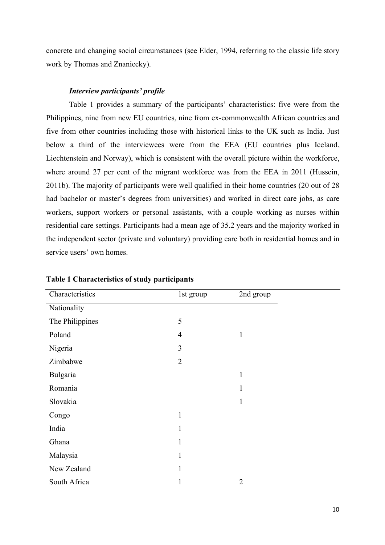concrete and changing social circumstances (see Elder, 1994, referring to the classic life story work by Thomas and Znaniecky).

## *Interview participants' profile*

Table 1 provides a summary of the participants' characteristics: five were from the Philippines, nine from new EU countries, nine from ex-commonwealth African countries and five from other countries including those with historical links to the UK such as India. Just below a third of the interviewees were from the EEA (EU countries plus Iceland, Liechtenstein and Norway), which is consistent with the overall picture within the workforce, where around 27 per cent of the migrant workforce was from the EEA in 2011 (Hussein, 2011b). The majority of participants were well qualified in their home countries (20 out of 28 had bachelor or master's degrees from universities) and worked in direct care jobs, as care workers, support workers or personal assistants, with a couple working as nurses within residential care settings. Participants had a mean age of 35.2 years and the majority worked in the independent sector (private and voluntary) providing care both in residential homes and in service users' own homes.

| Characteristics | 1st group      | 2nd group      |
|-----------------|----------------|----------------|
| Nationality     |                |                |
| The Philippines | 5              |                |
| Poland          | $\overline{4}$ | $\mathbf{1}$   |
| Nigeria         | 3              |                |
| Zimbabwe        | $\overline{2}$ |                |
| Bulgaria        |                | $\mathbf{1}$   |
| Romania         |                | $\mathbf{1}$   |
| Slovakia        |                | 1              |
| Congo           | $\mathbf{1}$   |                |
| India           | 1              |                |
| Ghana           | 1              |                |
| Malaysia        | 1              |                |
| New Zealand     | $\mathbf{1}$   |                |
| South Africa    | 1              | $\overline{2}$ |

**Table 1 Characteristics of study participants**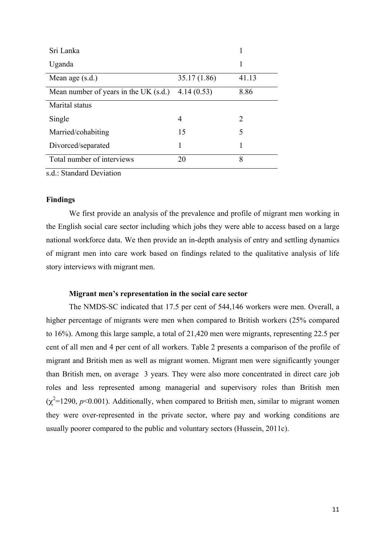| Sri Lanka                               |              |                             |
|-----------------------------------------|--------------|-----------------------------|
| Uganda                                  |              | 1                           |
| Mean age $(s.d.)$                       | 35.17 (1.86) | 41.13                       |
| Mean number of years in the UK $(s.d.)$ | 4.14(0.53)   | 8.86                        |
| Marital status                          |              |                             |
| Single                                  | 4            | $\mathcal{D}_{\mathcal{L}}$ |
| Married/cohabiting                      | 15           | 5                           |
| Divorced/separated                      |              |                             |
| Total number of interviews              | 20           | 8                           |

s.d.: Standard Deviation

#### **Findings**

We first provide an analysis of the prevalence and profile of migrant men working in the English social care sector including which jobs they were able to access based on a large national workforce data. We then provide an in-depth analysis of entry and settling dynamics of migrant men into care work based on findings related to the qualitative analysis of life story interviews with migrant men.

# **Migrant men's representation in the social care sector**

The NMDS-SC indicated that 17.5 per cent of 544,146 workers were men. Overall, a higher percentage of migrants were men when compared to British workers (25% compared to 16%). Among this large sample, a total of 21,420 men were migrants, representing 22.5 per cent of all men and 4 per cent of all workers. Table 2 presents a comparison of the profile of migrant and British men as well as migrant women. Migrant men were significantly younger than British men, on average 3 years. They were also more concentrated in direct care job roles and less represented among managerial and supervisory roles than British men  $(\chi^2=1290, p<0.001)$ . Additionally, when compared to British men, similar to migrant women they were over-represented in the private sector, where pay and working conditions are usually poorer compared to the public and voluntary sectors (Hussein, 2011c).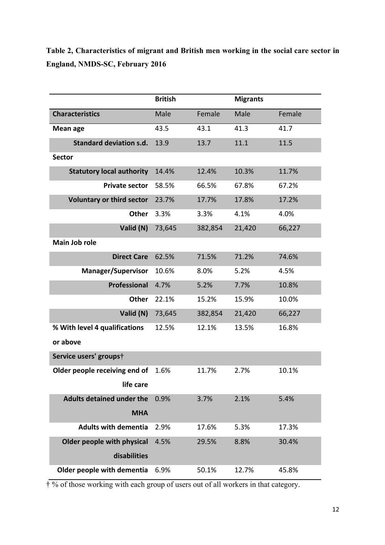**Table 2, Characteristics of migrant and British men working in the social care sector in England, NMDS-SC, February 2016**

|                                        | <b>British</b>     |         | <b>Migrants</b> |        |
|----------------------------------------|--------------------|---------|-----------------|--------|
|                                        |                    |         |                 |        |
| <b>Characteristics</b>                 | Male               | Female  | Male            | Female |
| <b>Mean age</b>                        | 43.5               | 43.1    | 41.3            | 41.7   |
| Standard deviation s.d. 13.9           |                    | 13.7    | 11.1            | 11.5   |
| <b>Sector</b>                          |                    |         |                 |        |
| <b>Statutory local authority</b> 14.4% |                    | 12.4%   | 10.3%           | 11.7%  |
| Private sector 58.5%                   |                    | 66.5%   | 67.8%           | 67.2%  |
| Voluntary or third sector 23.7%        |                    | 17.7%   | 17.8%           | 17.2%  |
| <b>Other 3.3%</b>                      |                    | 3.3%    | 4.1%            | 4.0%   |
| Valid (N)                              | 73,645             | 382,854 | 21,420          | 66,227 |
| Main Job role                          |                    |         |                 |        |
| Direct Care 62.5%                      |                    | 71.5%   | 71.2%           | 74.6%  |
| Manager/Supervisor 10.6%               |                    | 8.0%    | 5.2%            | 4.5%   |
| Professional 4.7%                      |                    | 5.2%    | 7.7%            | 10.8%  |
|                                        | <b>Other</b> 22.1% | 15.2%   | 15.9%           | 10.0%  |
| Valid (N)                              | 73,645             | 382,854 | 21,420          | 66,227 |
| % With level 4 qualifications          | 12.5%              | 12.1%   | 13.5%           | 16.8%  |
| or above                               |                    |         |                 |        |
| Service users' groups†                 |                    |         |                 |        |
| Older people receiving end of 1.6%     |                    | 11.7%   | 2.7%            | 10.1%  |
| life care                              |                    |         |                 |        |
| <b>Adults detained under the</b>       | 0.9%               | 3.7%    | 2.1%            | 5.4%   |
| <b>MHA</b>                             |                    |         |                 |        |
| <b>Adults with dementia</b>            | 2.9%               | 17.6%   | 5.3%            | 17.3%  |
| Older people with physical             | 4.5%               | 29.5%   | 8.8%            | 30.4%  |
| disabilities                           |                    |         |                 |        |
| Older people with dementia             | 6.9%               | 50.1%   | 12.7%           | 45.8%  |

† % of those working with each group of users out of all workers in that category.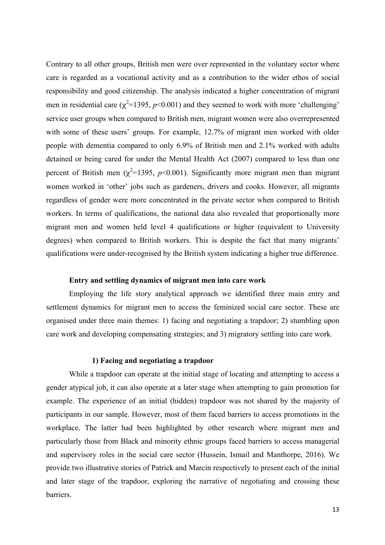Contrary to all other groups, British men were over represented in the voluntary sector where care is regarded as a vocational activity and as a contribution to the wider ethos of social responsibility and good citizenship. The analysis indicated a higher concentration of migrant men in residential care  $(\chi^2=1395, p<0.001)$  and they seemed to work with more 'challenging' service user groups when compared to British men, migrant women were also overrepresented with some of these users' groups. For example, 12.7% of migrant men worked with older people with dementia compared to only 6.9% of British men and 2.1% worked with adults detained or being cared for under the Mental Health Act (2007) compared to less than one percent of British men ( $\chi^2$ =1395, p<0.001). Significantly more migrant men than migrant women worked in 'other' jobs such as gardeners, drivers and cooks. However, all migrants regardless of gender were more concentrated in the private sector when compared to British workers. In terms of qualifications, the national data also revealed that proportionally more migrant men and women held level 4 qualifications or higher (equivalent to University degrees) when compared to British workers. This is despite the fact that many migrants' qualifications were under-recognised by the British system indicating a higher true difference.

# **Entry and settling dynamics of migrant men into care work**

Employing the life story analytical approach we identified three main entry and settlement dynamics for migrant men to access the feminized social care sector. These are organised under three main themes: 1) facing and negotiating a trapdoor; 2) stumbling upon care work and developing compensating strategies; and 3) migratory settling into care work.

# **1) Facing and negotiating a trapdoor**

While a trapdoor can operate at the initial stage of locating and attempting to access a gender atypical job, it can also operate at a later stage when attempting to gain promotion for example. The experience of an initial (hidden) trapdoor was not shared by the majority of participants in our sample. However, most of them faced barriers to access promotions in the workplace. The latter had been highlighted by other research where migrant men and particularly those from Black and minority ethnic groups faced barriers to access managerial and supervisory roles in the social care sector (Hussein, Ismail and Manthorpe, 2016). We provide two illustrative stories of Patrick and Marcin respectively to present each of the initial and later stage of the trapdoor, exploring the narrative of negotiating and crossing these barriers.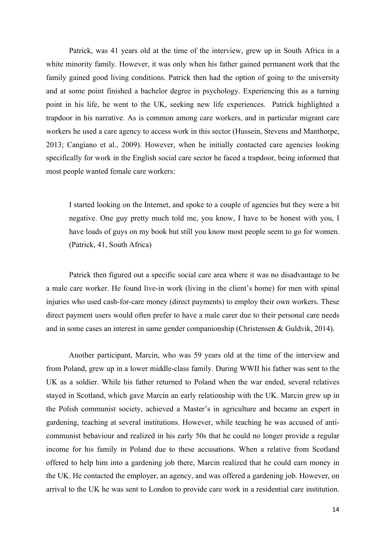Patrick, was 41 years old at the time of the interview, grew up in South Africa in a white minority family. However, it was only when his father gained permanent work that the family gained good living conditions. Patrick then had the option of going to the university and at some point finished a bachelor degree in psychology. Experiencing this as a turning point in his life, he went to the UK, seeking new life experiences. Patrick highlighted a trapdoor in his narrative. As is common among care workers, and in particular migrant care workers he used a care agency to access work in this sector (Hussein, Stevens and Manthorpe, 2013; Cangiano et al., 2009). However, when he initially contacted care agencies looking specifically for work in the English social care sector he faced a trapdoor, being informed that most people wanted female care workers:

I started looking on the Internet, and spoke to a couple of agencies but they were a bit negative. One guy pretty much told me, you know, I have to be honest with you, I have loads of guys on my book but still you know most people seem to go for women. (Patrick, 41, South Africa)

Patrick then figured out a specific social care area where it was no disadvantage to be a male care worker. He found live-in work (living in the client's home) for men with spinal injuries who used cash-for-care money (direct payments) to employ their own workers. These direct payment users would often prefer to have a male carer due to their personal care needs and in some cases an interest in same gender companionship (Christensen & Guldvik, 2014).

Another participant, Marcin, who was 59 years old at the time of the interview and from Poland, grew up in a lower middle-class family. During WWII his father was sent to the UK as a soldier. While his father returned to Poland when the war ended, several relatives stayed in Scotland, which gave Marcin an early relationship with the UK. Marcin grew up in the Polish communist society, achieved a Master's in agriculture and became an expert in gardening, teaching at several institutions. However, while teaching he was accused of anticommunist behaviour and realized in his early 50s that he could no longer provide a regular income for his family in Poland due to these accusations. When a relative from Scotland offered to help him into a gardening job there, Marcin realized that he could earn money in the UK. He contacted the employer, an agency, and was offered a gardening job. However, on arrival to the UK he was sent to London to provide care work in a residential care institution.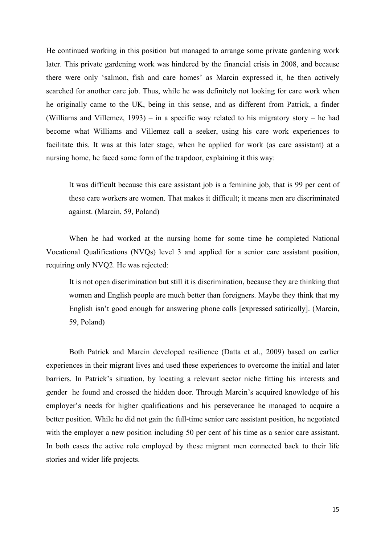He continued working in this position but managed to arrange some private gardening work later. This private gardening work was hindered by the financial crisis in 2008, and because there were only 'salmon, fish and care homes' as Marcin expressed it, he then actively searched for another care job. Thus, while he was definitely not looking for care work when he originally came to the UK, being in this sense, and as different from Patrick, a finder (Williams and Villemez, 1993) – in a specific way related to his migratory story – he had become what Williams and Villemez call a seeker, using his care work experiences to facilitate this. It was at this later stage, when he applied for work (as care assistant) at a nursing home, he faced some form of the trapdoor, explaining it this way:

It was difficult because this care assistant job is a feminine job, that is 99 per cent of these care workers are women. That makes it difficult; it means men are discriminated against. (Marcin, 59, Poland)

When he had worked at the nursing home for some time he completed National Vocational Qualifications (NVQs) level 3 and applied for a senior care assistant position, requiring only NVQ2. He was rejected:

It is not open discrimination but still it is discrimination, because they are thinking that women and English people are much better than foreigners. Maybe they think that my English isn't good enough for answering phone calls [expressed satirically]. (Marcin, 59, Poland)

Both Patrick and Marcin developed resilience (Datta et al., 2009) based on earlier experiences in their migrant lives and used these experiences to overcome the initial and later barriers. In Patrick's situation, by locating a relevant sector niche fitting his interests and gender he found and crossed the hidden door. Through Marcin's acquired knowledge of his employer's needs for higher qualifications and his perseverance he managed to acquire a better position. While he did not gain the full-time senior care assistant position, he negotiated with the employer a new position including 50 per cent of his time as a senior care assistant. In both cases the active role employed by these migrant men connected back to their life stories and wider life projects.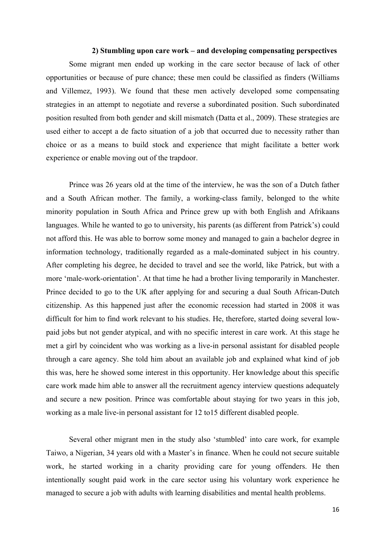#### **2) Stumbling upon care work – and developing compensating perspectives**

Some migrant men ended up working in the care sector because of lack of other opportunities or because of pure chance; these men could be classified as finders (Williams and Villemez, 1993). We found that these men actively developed some compensating strategies in an attempt to negotiate and reverse a subordinated position. Such subordinated position resulted from both gender and skill mismatch (Datta et al., 2009). These strategies are used either to accept a de facto situation of a job that occurred due to necessity rather than choice or as a means to build stock and experience that might facilitate a better work experience or enable moving out of the trapdoor.

Prince was 26 years old at the time of the interview, he was the son of a Dutch father and a South African mother. The family, a working-class family, belonged to the white minority population in South Africa and Prince grew up with both English and Afrikaans languages. While he wanted to go to university, his parents (as different from Patrick's) could not afford this. He was able to borrow some money and managed to gain a bachelor degree in information technology, traditionally regarded as a male-dominated subject in his country. After completing his degree, he decided to travel and see the world, like Patrick, but with a more 'male-work-orientation'. At that time he had a brother living temporarily in Manchester. Prince decided to go to the UK after applying for and securing a dual South African-Dutch citizenship. As this happened just after the economic recession had started in 2008 it was difficult for him to find work relevant to his studies. He, therefore, started doing several lowpaid jobs but not gender atypical, and with no specific interest in care work. At this stage he met a girl by coincident who was working as a live-in personal assistant for disabled people through a care agency. She told him about an available job and explained what kind of job this was, here he showed some interest in this opportunity. Her knowledge about this specific care work made him able to answer all the recruitment agency interview questions adequately and secure a new position. Prince was comfortable about staying for two years in this job, working as a male live-in personal assistant for 12 to15 different disabled people.

Several other migrant men in the study also 'stumbled' into care work, for example Taiwo, a Nigerian, 34 years old with a Master's in finance. When he could not secure suitable work, he started working in a charity providing care for young offenders. He then intentionally sought paid work in the care sector using his voluntary work experience he managed to secure a job with adults with learning disabilities and mental health problems.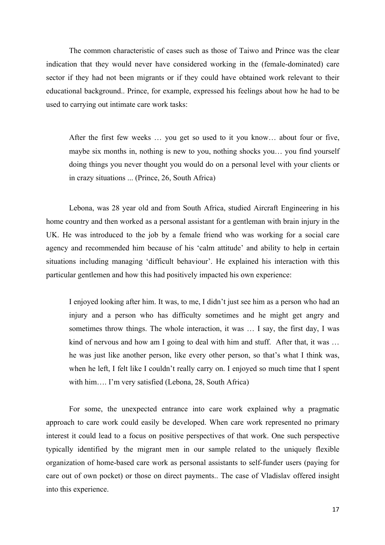The common characteristic of cases such as those of Taiwo and Prince was the clear indication that they would never have considered working in the (female-dominated) care sector if they had not been migrants or if they could have obtained work relevant to their educational background.. Prince, for example, expressed his feelings about how he had to be used to carrying out intimate care work tasks:

After the first few weeks … you get so used to it you know… about four or five, maybe six months in, nothing is new to you, nothing shocks you… you find yourself doing things you never thought you would do on a personal level with your clients or in crazy situations ... (Prince, 26, South Africa)

Lebona, was 28 year old and from South Africa, studied Aircraft Engineering in his home country and then worked as a personal assistant for a gentleman with brain injury in the UK. He was introduced to the job by a female friend who was working for a social care agency and recommended him because of his 'calm attitude' and ability to help in certain situations including managing 'difficult behaviour'. He explained his interaction with this particular gentlemen and how this had positively impacted his own experience:

I enjoyed looking after him. It was, to me, I didn't just see him as a person who had an injury and a person who has difficulty sometimes and he might get angry and sometimes throw things. The whole interaction, it was … I say, the first day, I was kind of nervous and how am I going to deal with him and stuff. After that, it was ... he was just like another person, like every other person, so that's what I think was, when he left, I felt like I couldn't really carry on. I enjoyed so much time that I spent with him…. I'm very satisfied (Lebona, 28, South Africa)

For some, the unexpected entrance into care work explained why a pragmatic approach to care work could easily be developed. When care work represented no primary interest it could lead to a focus on positive perspectives of that work. One such perspective typically identified by the migrant men in our sample related to the uniquely flexible organization of home-based care work as personal assistants to self-funder users (paying for care out of own pocket) or those on direct payments.. The case of Vladislav offered insight into this experience.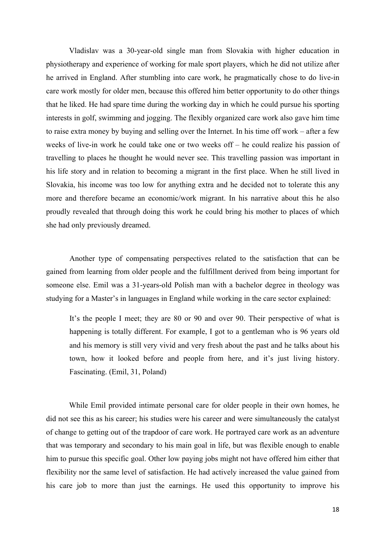Vladislav was a 30-year-old single man from Slovakia with higher education in physiotherapy and experience of working for male sport players, which he did not utilize after he arrived in England. After stumbling into care work, he pragmatically chose to do live-in care work mostly for older men, because this offered him better opportunity to do other things that he liked. He had spare time during the working day in which he could pursue his sporting interests in golf, swimming and jogging. The flexibly organized care work also gave him time to raise extra money by buying and selling over the Internet. In his time off work – after a few weeks of live-in work he could take one or two weeks off – he could realize his passion of travelling to places he thought he would never see. This travelling passion was important in his life story and in relation to becoming a migrant in the first place. When he still lived in Slovakia, his income was too low for anything extra and he decided not to tolerate this any more and therefore became an economic/work migrant. In his narrative about this he also proudly revealed that through doing this work he could bring his mother to places of which she had only previously dreamed.

Another type of compensating perspectives related to the satisfaction that can be gained from learning from older people and the fulfillment derived from being important for someone else. Emil was a 31-years-old Polish man with a bachelor degree in theology was studying for a Master's in languages in England while working in the care sector explained:

It's the people I meet; they are 80 or 90 and over 90. Their perspective of what is happening is totally different. For example, I got to a gentleman who is 96 years old and his memory is still very vivid and very fresh about the past and he talks about his town, how it looked before and people from here, and it's just living history. Fascinating. (Emil, 31, Poland)

While Emil provided intimate personal care for older people in their own homes, he did not see this as his career; his studies were his career and were simultaneously the catalyst of change to getting out of the trapdoor of care work. He portrayed care work as an adventure that was temporary and secondary to his main goal in life, but was flexible enough to enable him to pursue this specific goal. Other low paying jobs might not have offered him either that flexibility nor the same level of satisfaction. He had actively increased the value gained from his care job to more than just the earnings. He used this opportunity to improve his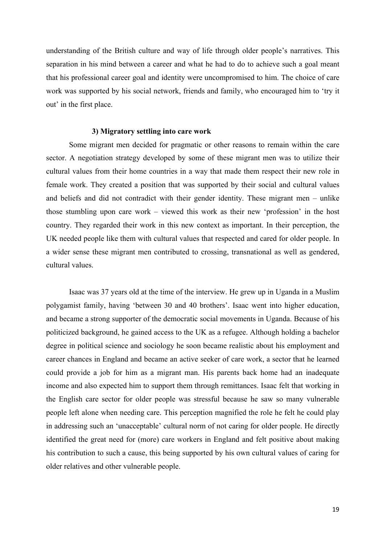understanding of the British culture and way of life through older people's narratives. This separation in his mind between a career and what he had to do to achieve such a goal meant that his professional career goal and identity were uncompromised to him. The choice of care work was supported by his social network, friends and family, who encouraged him to 'try it out' in the first place.

# **3) Migratory settling into care work**

Some migrant men decided for pragmatic or other reasons to remain within the care sector. A negotiation strategy developed by some of these migrant men was to utilize their cultural values from their home countries in a way that made them respect their new role in female work. They created a position that was supported by their social and cultural values and beliefs and did not contradict with their gender identity. These migrant men – unlike those stumbling upon care work – viewed this work as their new 'profession' in the host country. They regarded their work in this new context as important. In their perception, the UK needed people like them with cultural values that respected and cared for older people. In a wider sense these migrant men contributed to crossing, transnational as well as gendered, cultural values.

Isaac was 37 years old at the time of the interview. He grew up in Uganda in a Muslim polygamist family, having 'between 30 and 40 brothers'. Isaac went into higher education, and became a strong supporter of the democratic social movements in Uganda. Because of his politicized background, he gained access to the UK as a refugee. Although holding a bachelor degree in political science and sociology he soon became realistic about his employment and career chances in England and became an active seeker of care work, a sector that he learned could provide a job for him as a migrant man. His parents back home had an inadequate income and also expected him to support them through remittances. Isaac felt that working in the English care sector for older people was stressful because he saw so many vulnerable people left alone when needing care. This perception magnified the role he felt he could play in addressing such an 'unacceptable' cultural norm of not caring for older people. He directly identified the great need for (more) care workers in England and felt positive about making his contribution to such a cause, this being supported by his own cultural values of caring for older relatives and other vulnerable people.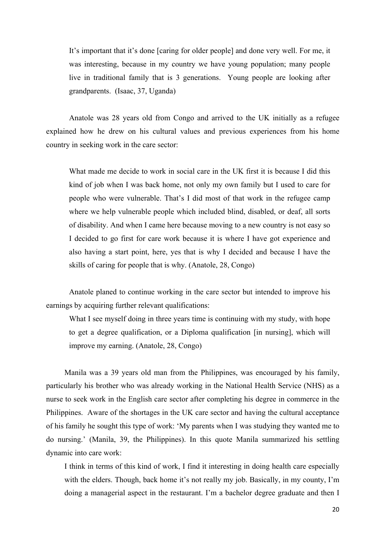It's important that it's done [caring for older people] and done very well. For me, it was interesting, because in my country we have young population; many people live in traditional family that is 3 generations. Young people are looking after grandparents. (Isaac, 37, Uganda)

Anatole was 28 years old from Congo and arrived to the UK initially as a refugee explained how he drew on his cultural values and previous experiences from his home country in seeking work in the care sector:

What made me decide to work in social care in the UK first it is because I did this kind of job when I was back home, not only my own family but I used to care for people who were vulnerable. That's I did most of that work in the refugee camp where we help vulnerable people which included blind, disabled, or deaf, all sorts of disability. And when I came here because moving to a new country is not easy so I decided to go first for care work because it is where I have got experience and also having a start point, here, yes that is why I decided and because I have the skills of caring for people that is why. (Anatole, 28, Congo)

Anatole planed to continue working in the care sector but intended to improve his earnings by acquiring further relevant qualifications:

What I see myself doing in three years time is continuing with my study, with hope to get a degree qualification, or a Diploma qualification [in nursing], which will improve my earning. (Anatole, 28, Congo)

Manila was a 39 years old man from the Philippines, was encouraged by his family, particularly his brother who was already working in the National Health Service (NHS) as a nurse to seek work in the English care sector after completing his degree in commerce in the Philippines. Aware of the shortages in the UK care sector and having the cultural acceptance of his family he sought this type of work: 'My parents when I was studying they wanted me to do nursing.' (Manila, 39, the Philippines). In this quote Manila summarized his settling dynamic into care work:

I think in terms of this kind of work, I find it interesting in doing health care especially with the elders. Though, back home it's not really my job. Basically, in my county, I'm doing a managerial aspect in the restaurant. I'm a bachelor degree graduate and then I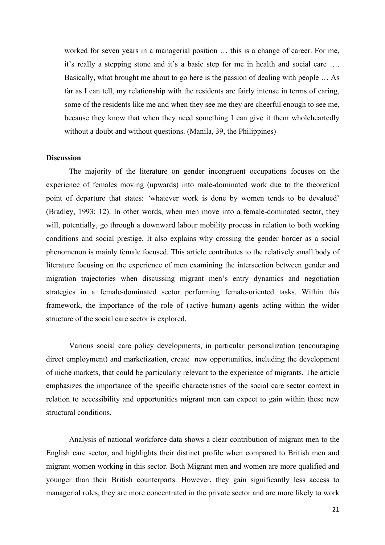worked for seven years in a managerial position … this is a change of career. For me, it's really a stepping stone and it's a basic step for me in health and social care …. Basically, what brought me about to go here is the passion of dealing with people … As far as I can tell, my relationship with the residents are fairly intense in terms of caring, some of the residents like me and when they see me they are cheerful enough to see me, because they know that when they need something I can give it them wholeheartedly without a doubt and without questions. (Manila, 39, the Philippines)

#### **Discussion**

The majority of the literature on gender incongruent occupations focuses on the experience of females moving (upwards) into male-dominated work due to the theoretical point of departure that states: *'*whatever work is done by women tends to be devalued' (Bradley, 1993: 12). In other words, when men move into a female-dominated sector, they will, potentially, go through a downward labour mobility process in relation to both working conditions and social prestige. It also explains why crossing the gender border as a social phenomenon is mainly female focused. This article contributes to the relatively small body of literature focusing on the experience of men examining the intersection between gender and migration trajectories when discussing migrant men's entry dynamics and negotiation strategies in a female-dominated sector performing female-oriented tasks. Within this framework, the importance of the role of (active human) agents acting within the wider structure of the social care sector is explored.

Various social care policy developments, in particular personalization (encouraging direct employment) and marketization, create new opportunities, including the development of niche markets, that could be particularly relevant to the experience of migrants. The article emphasizes the importance of the specific characteristics of the social care sector context in relation to accessibility and opportunities migrant men can expect to gain within these new structural conditions.

Analysis of national workforce data shows a clear contribution of migrant men to the English care sector, and highlights their distinct profile when compared to British men and migrant women working in this sector. Both Migrant men and women are more qualified and younger than their British counterparts. However, they gain significantly less access to managerial roles, they are more concentrated in the private sector and are more likely to work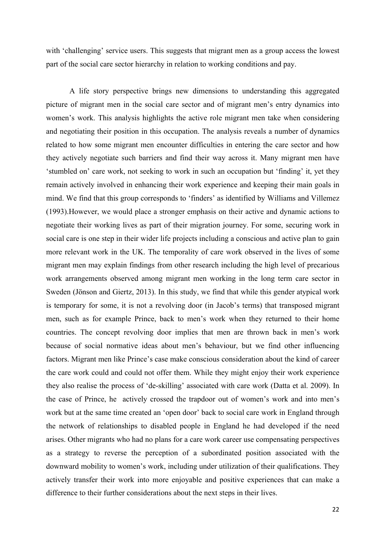with 'challenging' service users. This suggests that migrant men as a group access the lowest part of the social care sector hierarchy in relation to working conditions and pay.

A life story perspective brings new dimensions to understanding this aggregated picture of migrant men in the social care sector and of migrant men's entry dynamics into women's work. This analysis highlights the active role migrant men take when considering and negotiating their position in this occupation. The analysis reveals a number of dynamics related to how some migrant men encounter difficulties in entering the care sector and how they actively negotiate such barriers and find their way across it. Many migrant men have 'stumbled on' care work, not seeking to work in such an occupation but 'finding' it, yet they remain actively involved in enhancing their work experience and keeping their main goals in mind. We find that this group corresponds to 'finders' as identified by Williams and Villemez (1993).However, we would place a stronger emphasis on their active and dynamic actions to negotiate their working lives as part of their migration journey. For some, securing work in social care is one step in their wider life projects including a conscious and active plan to gain more relevant work in the UK. The temporality of care work observed in the lives of some migrant men may explain findings from other research including the high level of precarious work arrangements observed among migrant men working in the long term care sector in Sweden (Jönson and Giertz, 2013). In this study, we find that while this gender atypical work is temporary for some, it is not a revolving door (in Jacob's terms) that transposed migrant men, such as for example Prince, back to men's work when they returned to their home countries. The concept revolving door implies that men are thrown back in men's work because of social normative ideas about men's behaviour, but we find other influencing factors. Migrant men like Prince's case make conscious consideration about the kind of career the care work could and could not offer them. While they might enjoy their work experience they also realise the process of 'de-skilling' associated with care work (Datta et al. 2009). In the case of Prince, he actively crossed the trapdoor out of women's work and into men's work but at the same time created an 'open door' back to social care work in England through the network of relationships to disabled people in England he had developed if the need arises. Other migrants who had no plans for a care work career use compensating perspectives as a strategy to reverse the perception of a subordinated position associated with the downward mobility to women's work, including under utilization of their qualifications. They actively transfer their work into more enjoyable and positive experiences that can make a difference to their further considerations about the next steps in their lives.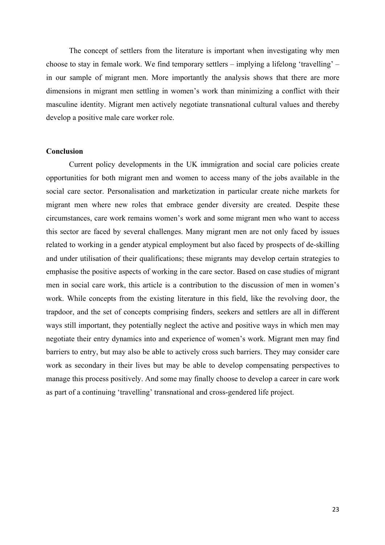The concept of settlers from the literature is important when investigating why men choose to stay in female work. We find temporary settlers – implying a lifelong 'travelling' – in our sample of migrant men. More importantly the analysis shows that there are more dimensions in migrant men settling in women's work than minimizing a conflict with their masculine identity. Migrant men actively negotiate transnational cultural values and thereby develop a positive male care worker role.

#### **Conclusion**

Current policy developments in the UK immigration and social care policies create opportunities for both migrant men and women to access many of the jobs available in the social care sector. Personalisation and marketization in particular create niche markets for migrant men where new roles that embrace gender diversity are created. Despite these circumstances, care work remains women's work and some migrant men who want to access this sector are faced by several challenges. Many migrant men are not only faced by issues related to working in a gender atypical employment but also faced by prospects of de-skilling and under utilisation of their qualifications; these migrants may develop certain strategies to emphasise the positive aspects of working in the care sector. Based on case studies of migrant men in social care work, this article is a contribution to the discussion of men in women's work. While concepts from the existing literature in this field, like the revolving door, the trapdoor, and the set of concepts comprising finders, seekers and settlers are all in different ways still important, they potentially neglect the active and positive ways in which men may negotiate their entry dynamics into and experience of women's work. Migrant men may find barriers to entry, but may also be able to actively cross such barriers. They may consider care work as secondary in their lives but may be able to develop compensating perspectives to manage this process positively. And some may finally choose to develop a career in care work as part of a continuing 'travelling' transnational and cross-gendered life project.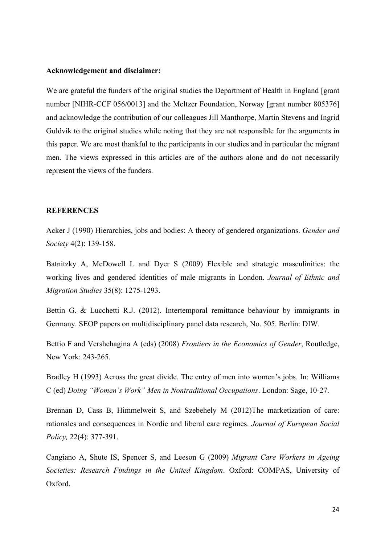#### **Acknowledgement and disclaimer:**

We are grateful the funders of the original studies the Department of Health in England [grant number [NIHR-CCF 056/0013] and the Meltzer Foundation, Norway [grant number 805376] and acknowledge the contribution of our colleagues Jill Manthorpe, Martin Stevens and Ingrid Guldvik to the original studies while noting that they are not responsible for the arguments in this paper. We are most thankful to the participants in our studies and in particular the migrant men. The views expressed in this articles are of the authors alone and do not necessarily represent the views of the funders.

#### **REFERENCES**

Acker J (1990) Hierarchies, jobs and bodies: A theory of gendered organizations. *Gender and Society* 4(2): 139-158.

Batnitzky A, McDowell L and Dyer S (2009) Flexible and strategic masculinities: the working lives and gendered identities of male migrants in London. *Journal of Ethnic and Migration Studies* 35(8): 1275-1293.

Bettin G. & Lucchetti R.J. (2012). Intertemporal remittance behaviour by immigrants in Germany. SEOP papers on multidisciplinary panel data research, No. 505. Berlin: DIW.

Bettio F and Vershchagina A (eds) (2008) *Frontiers in the Economics of Gender*, Routledge, New York: 243-265.

Bradley H (1993) Across the great divide. The entry of men into women's jobs. In: Williams C (ed) *Doing "Women's Work" Men in Nontraditional Occupations*. London: Sage, 10-27.

Brennan D, Cass B, Himmelweit S, and Szebehely M (2012)The marketization of care: rationales and consequences in Nordic and liberal care regimes. *Journal of European Social Policy,* 22(4): 377-391.

Cangiano A, Shute IS, Spencer S, and Leeson G (2009) *Migrant Care Workers in Ageing Societies: Research Findings in the United Kingdom*. Oxford: COMPAS, University of Oxford.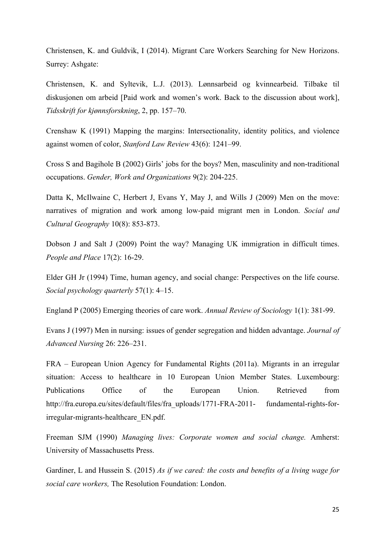Christensen, K. and Guldvik, I (2014). Migrant Care Workers Searching for New Horizons. Surrey: Ashgate:

Christensen, K. and Syltevik, L.J. (2013). Lønnsarbeid og kvinnearbeid. Tilbake til diskusjonen om arbeid [Paid work and women's work. Back to the discussion about work], *Tidsskrift for kjønnsforskning*, 2, pp. 157–70.

Crenshaw K (1991) Mapping the margins: Intersectionality, identity politics, and violence against women of color, *Stanford Law Review* 43(6): 1241–99.

Cross S and Bagihole B (2002) Girls' jobs for the boys? Men, masculinity and non-traditional occupations. *Gender, Work and Organizations* 9(2): 204-225.

Datta K, McIlwaine C, Herbert J, Evans Y, May J, and Wills J (2009) Men on the move: narratives of migration and work among low-paid migrant men in London. *Social and Cultural Geography* 10(8): 853-873.

Dobson J and Salt J (2009) Point the way? Managing UK immigration in difficult times. *People and Place* 17(2): 16-29.

Elder GH Jr (1994) Time, human agency, and social change: Perspectives on the life course. *Social psychology quarterly* 57(1): 4–15.

England P (2005) Emerging theories of care work. *Annual Review of Sociology* 1(1): 381-99.

Evans J (1997) Men in nursing: issues of gender segregation and hidden advantage. *Journal of Advanced Nursing* 26: 226–231.

FRA – European Union Agency for Fundamental Rights (2011a). Migrants in an irregular situation: Access to healthcare in 10 European Union Member States. Luxembourg: Publications Office of the European Union. Retrieved from http://fra.europa.eu/sites/default/files/fra\_uploads/1771-FRA-2011- fundamental-rights-forirregular-migrants-healthcare\_EN.pdf.

Freeman SJM (1990) *Managing lives: Corporate women and social change.* Amherst: University of Massachusetts Press.

Gardiner, L and Hussein S. (2015) *As if we cared: the costs and benefits of a living wage for social care workers,* The Resolution Foundation: London.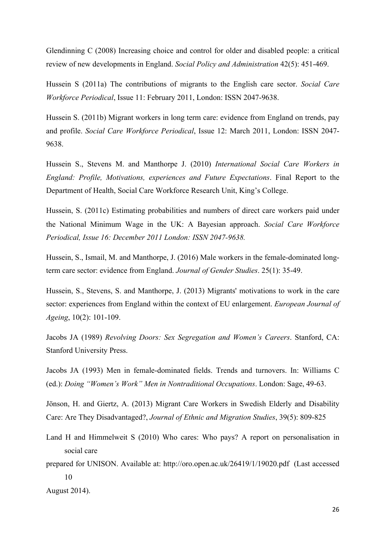Glendinning C (2008) Increasing choice and control for older and disabled people: a critical review of new developments in England. *Social Policy and Administration* 42(5): 451-469.

Hussein S (2011a) The contributions of migrants to the English care sector. *Social Care Workforce Periodical*, Issue 11: February 2011, London: ISSN 2047-9638.

Hussein S. (2011b) Migrant workers in long term care: evidence from England on trends, pay and profile. *Social Care Workforce Periodical*, Issue 12: March 2011, London: ISSN 2047- 9638.

Hussein S., Stevens M. and Manthorpe J. (2010) *International Social Care Workers in England: Profile, Motivations, experiences and Future Expectations*. Final Report to the Department of Health, Social Care Workforce Research Unit, King's College.

Hussein, S. (2011c) Estimating probabilities and numbers of direct care workers paid under the National Minimum Wage in the UK: A Bayesian approach. *Social Care Workforce Periodical, Issue 16: December 2011 London: ISSN 2047-9638.*

Hussein, S., Ismail, M. and Manthorpe, J. (2016) Male workers in the female-dominated longterm care sector: evidence from England. *Journal of Gender Studies*. 25(1): 35-49.

Hussein, S., Stevens, S. and Manthorpe, J. (2013) Migrants' motivations to work in the care sector: experiences from England within the context of EU enlargement. *European Journal of Ageing*, 10(2): 101-109.

Jacobs JA (1989) *Revolving Doors: Sex Segregation and Women's Careers*. Stanford, CA: Stanford University Press.

Jacobs JA (1993) Men in female-dominated fields. Trends and turnovers. In: Williams C (ed.): *Doing "Women's Work" Men in Nontraditional Occupations*. London: Sage, 49-63.

Jönson, H. and Giertz, A. (2013) Migrant Care Workers in Swedish Elderly and Disability Care: Are They Disadvantaged?, *Journal of Ethnic and Migration Studies*, 39(5): 809-825

- Land H and Himmelweit S (2010) Who cares: Who pays? A report on personalisation in social care
- prepared for UNISON. Available at: http://oro.open.ac.uk/26419/1/19020.pdf (Last accessed 10
- August 2014).